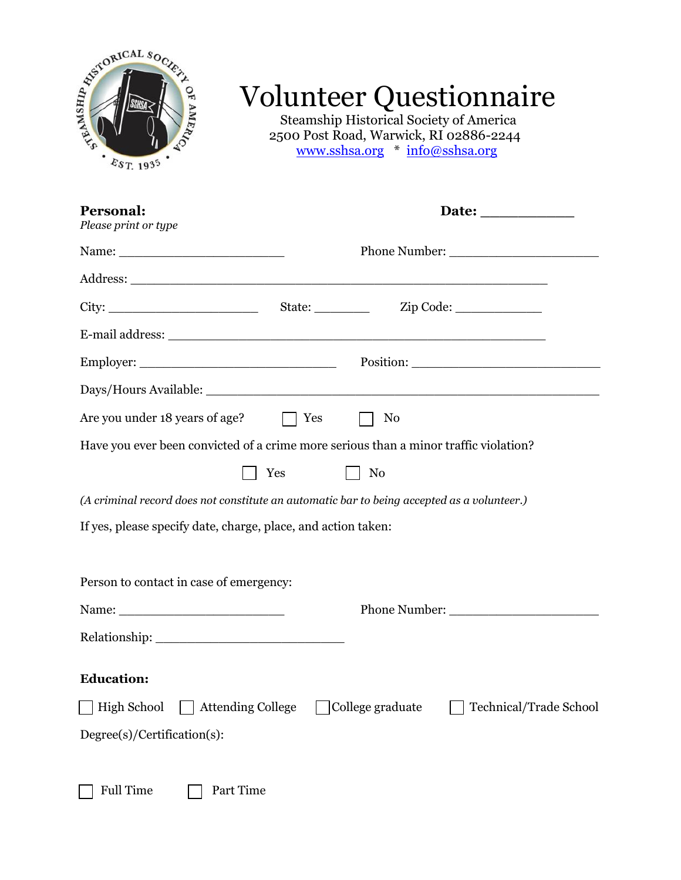

## Volunteer Questionnaire

Steamship Historical Society of America 2500 Post Road, Warwick, RI 02886-2244 [www.sshsa.org](http://www.sshsa.org/) \* [info@sshsa.org](mailto:info@sshsa.org)

| Personal:<br>Please print or type                                                          |  |                  |                        |
|--------------------------------------------------------------------------------------------|--|------------------|------------------------|
|                                                                                            |  |                  |                        |
|                                                                                            |  |                  |                        |
|                                                                                            |  |                  |                        |
|                                                                                            |  |                  |                        |
|                                                                                            |  |                  | Position:              |
|                                                                                            |  |                  |                        |
| Are you under 18 years of age? $\Box$ Yes                                                  |  | $\vert$   No     |                        |
| Have you ever been convicted of a crime more serious than a minor traffic violation?       |  |                  |                        |
| Yes                                                                                        |  | $\vert$ No       |                        |
| (A criminal record does not constitute an automatic bar to being accepted as a volunteer.) |  |                  |                        |
| If yes, please specify date, charge, place, and action taken:                              |  |                  |                        |
|                                                                                            |  |                  |                        |
| Person to contact in case of emergency:                                                    |  |                  |                        |
|                                                                                            |  |                  |                        |
|                                                                                            |  |                  |                        |
| <b>Education:</b>                                                                          |  |                  |                        |
| Attending College<br>High School                                                           |  | College graduate | Technical/Trade School |
| $Degree(s)/Certain(s)$ :                                                                   |  |                  |                        |
|                                                                                            |  |                  |                        |
| <b>Full Time</b><br>Part Time                                                              |  |                  |                        |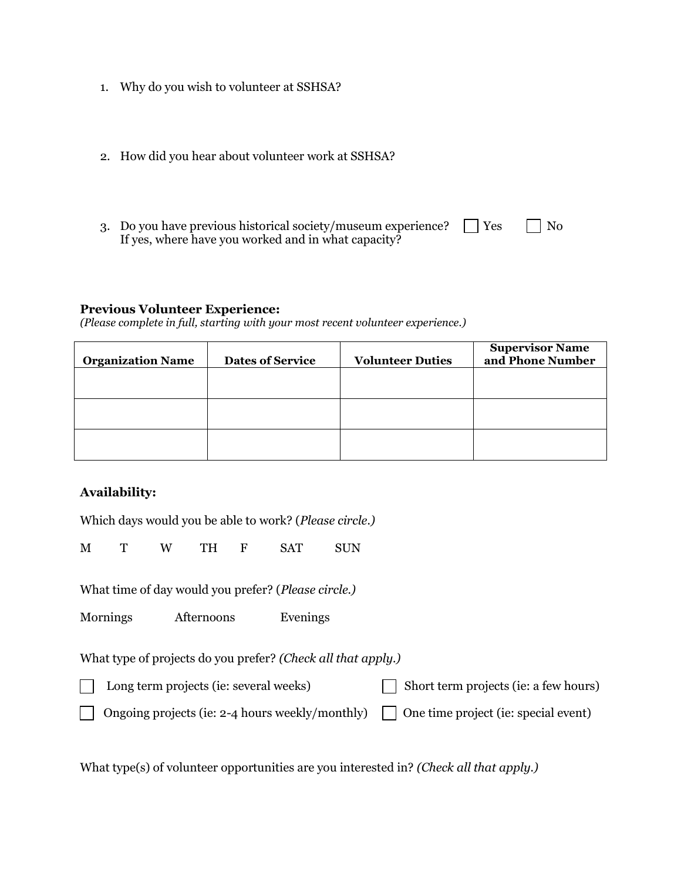- 1. Why do you wish to volunteer at SSHSA?
- 2. How did you hear about volunteer work at SSHSA?
- 3. Do you have previous historical society/museum experience?  $\Box$  Yes  $\Box$  No If yes, where have you worked and in what capacity?

## **Previous Volunteer Experience:**

*(Please complete in full, starting with your most recent volunteer experience.)*

| <b>Organization Name</b> | <b>Dates of Service</b> | <b>Volunteer Duties</b> | <b>Supervisor Name</b><br>and Phone Number |
|--------------------------|-------------------------|-------------------------|--------------------------------------------|
|                          |                         |                         |                                            |
|                          |                         |                         |                                            |
|                          |                         |                         |                                            |

## **Availability:**

Which days would you be able to work? (*Please circle.)*

M T W TH F SAT SUN

What time of day would you prefer? (*Please circle.)*

Mornings Afternoons Evenings

What type of projects do you prefer? *(Check all that apply.)*

 $\Box$  Long term projects (ie: several weeks)  $\Box$  Short term projects (ie: a few hours)

Ongoing projects (ie: 2-4 hours weekly/monthly) One time project (ie: special event)

What type(s) of volunteer opportunities are you interested in? *(Check all that apply.)*